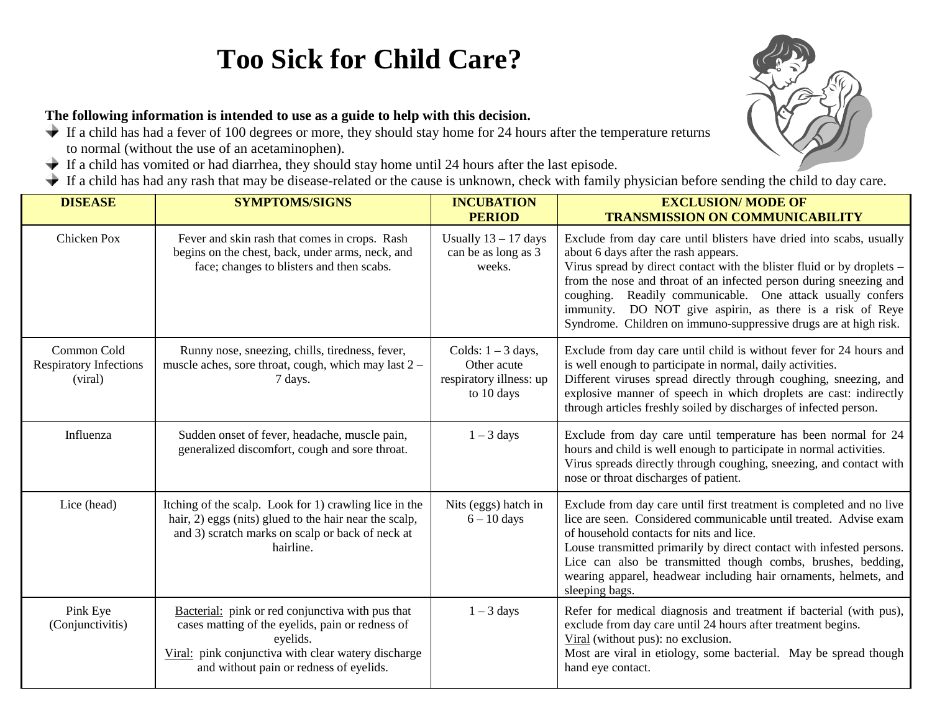## **Too Sick for Child Care?**

## **The following information is intended to use as a guide to help with this decision.**

- $\blacklozenge$  If a child has had a fever of 100 degrees or more, they should stay home for 24 hours after the temperature returns to normal (without the use of an acetaminophen).
- If a child has vomited or had diarrhea, they should stay home until 24 hours after the last episode.
- If a child has had any rash that may be disease-related or the cause is unknown, check with family physician before sending the child to day care.

| <b>DISEASE</b>                                          | <b>SYMPTOMS/SIGNS</b>                                                                                                                                                                                              | <b>INCUBATION</b><br><b>PERIOD</b>                                           | <b>EXCLUSION/ MODE OF</b><br><b>TRANSMISSION ON COMMUNICABILITY</b>                                                                                                                                                                                                                                                                                                                                                                                        |
|---------------------------------------------------------|--------------------------------------------------------------------------------------------------------------------------------------------------------------------------------------------------------------------|------------------------------------------------------------------------------|------------------------------------------------------------------------------------------------------------------------------------------------------------------------------------------------------------------------------------------------------------------------------------------------------------------------------------------------------------------------------------------------------------------------------------------------------------|
| Chicken Pox                                             | Fever and skin rash that comes in crops. Rash<br>begins on the chest, back, under arms, neck, and<br>face; changes to blisters and then scabs.                                                                     | Usually $13 - 17$ days<br>can be as long as 3<br>weeks.                      | Exclude from day care until blisters have dried into scabs, usually<br>about 6 days after the rash appears.<br>Virus spread by direct contact with the blister fluid or by droplets –<br>from the nose and throat of an infected person during sneezing and<br>coughing. Readily communicable. One attack usually confers<br>immunity. DO NOT give aspirin, as there is a risk of Reye<br>Syndrome. Children on immuno-suppressive drugs are at high risk. |
| Common Cold<br><b>Respiratory Infections</b><br>(viral) | Runny nose, sneezing, chills, tiredness, fever,<br>muscle aches, sore throat, cough, which may last 2 -<br>7 days.                                                                                                 | Colds: $1 - 3$ days,<br>Other acute<br>respiratory illness: up<br>to 10 days | Exclude from day care until child is without fever for 24 hours and<br>is well enough to participate in normal, daily activities.<br>Different viruses spread directly through coughing, sneezing, and<br>explosive manner of speech in which droplets are cast: indirectly<br>through articles freshly soiled by discharges of infected person.                                                                                                           |
| Influenza                                               | Sudden onset of fever, headache, muscle pain,<br>generalized discomfort, cough and sore throat.                                                                                                                    | $1 - 3$ days                                                                 | Exclude from day care until temperature has been normal for 24<br>hours and child is well enough to participate in normal activities.<br>Virus spreads directly through coughing, sneezing, and contact with<br>nose or throat discharges of patient.                                                                                                                                                                                                      |
| Lice (head)                                             | Itching of the scalp. Look for 1) crawling lice in the<br>hair, 2) eggs (nits) glued to the hair near the scalp,<br>and 3) scratch marks on scalp or back of neck at<br>hairline.                                  | Nits (eggs) hatch in<br>$6 - 10$ days                                        | Exclude from day care until first treatment is completed and no live<br>lice are seen. Considered communicable until treated. Advise exam<br>of household contacts for nits and lice.<br>Louse transmitted primarily by direct contact with infested persons.<br>Lice can also be transmitted though combs, brushes, bedding,<br>wearing apparel, headwear including hair ornaments, helmets, and<br>sleeping bags.                                        |
| Pink Eye<br>(Conjunctivitis)                            | Bacterial: pink or red conjunctiva with pus that<br>cases matting of the eyelids, pain or redness of<br>eyelids.<br>Viral: pink conjunctiva with clear watery discharge<br>and without pain or redness of eyelids. | $1 - 3$ days                                                                 | Refer for medical diagnosis and treatment if bacterial (with pus),<br>exclude from day care until 24 hours after treatment begins.<br>Viral (without pus): no exclusion.<br>Most are viral in etiology, some bacterial. May be spread though<br>hand eye contact.                                                                                                                                                                                          |